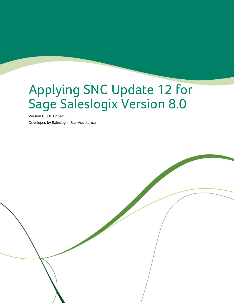# Applying SNC Update 12 for Sage Saleslogix Version 8.0

Version 8.0.0.12 SNC

Developed by Saleslogix User Assistance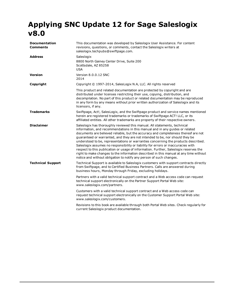## **Applying SNC Update 12 for Sage Saleslogix v8.0**

| Documentation<br><b>Comments</b> | This documentation was developed by Saleslogix User Assistance. For content<br>revisions, questions, or comments, contact the Saleslogix writers at<br>saleslogix.techpubs@swiftpage.com.                                                                                                                                                                                                                                                                                                                                                                                                                                                                                                                                                                           |  |
|----------------------------------|---------------------------------------------------------------------------------------------------------------------------------------------------------------------------------------------------------------------------------------------------------------------------------------------------------------------------------------------------------------------------------------------------------------------------------------------------------------------------------------------------------------------------------------------------------------------------------------------------------------------------------------------------------------------------------------------------------------------------------------------------------------------|--|
| <b>Address</b>                   | Saleslogix<br>8800 North Gainey Center Drive, Suite 200<br>Scottsdale, AZ 85258<br><b>USA</b>                                                                                                                                                                                                                                                                                                                                                                                                                                                                                                                                                                                                                                                                       |  |
| <b>Version</b>                   | Version 8.0.0.12 SNC<br>2014                                                                                                                                                                                                                                                                                                                                                                                                                                                                                                                                                                                                                                                                                                                                        |  |
| Copyright                        | Copyright © 1997-2014, SalesLogix N.A, LLC. All rights reserved                                                                                                                                                                                                                                                                                                                                                                                                                                                                                                                                                                                                                                                                                                     |  |
|                                  | This product and related documentation are protected by copyright and are<br>distributed under licenses restricting their use, copying, distribution, and<br>decompilation. No part of this product or related documentation may be reproduced<br>in any form by any means without prior written authorization of Saleslogix and its<br>licensors, if any.                                                                                                                                                                                                                                                                                                                                                                                                          |  |
| <b>Trademarks</b>                | Swiftpage, Act!, SalesLogix, and the Swiftpage product and service names mentioned<br>herein are registered trademarks or trademarks of Swiftpage ACT! LLC, or its<br>affiliated entities. All other trademarks are property of their respective owners.                                                                                                                                                                                                                                                                                                                                                                                                                                                                                                            |  |
| <b>Disclaimer</b>                | Saleslogix has thoroughly reviewed this manual. All statements, technical<br>information, and recommendations in this manual and in any guides or related<br>documents are believed reliable, but the accuracy and completeness thereof are not<br>guaranteed or warranted, and they are not intended to be, nor should they be<br>understood to be, representations or warranties concerning the products described.<br>Saleslogix assumes no responsibility or liability for errors or inaccuracies with<br>respect to this publication or usage of information. Further, Saleslogix reserves the<br>right to make changes to the information described in this manual at any time without<br>notice and without obligation to notify any person of such changes. |  |
| <b>Technical Support</b>         | Technical Support is available to Saleslogix customers with support contracts directly<br>from Swiftpage, and to Certified Business Partners. Calls are answered during<br>business hours, Monday through Friday, excluding holidays.                                                                                                                                                                                                                                                                                                                                                                                                                                                                                                                               |  |
|                                  | Partners with a valid technical support contract and a Web access code can request<br>technical support electronically on the Partner Support Portal Web site:<br>www.saleslogix.com/partners.                                                                                                                                                                                                                                                                                                                                                                                                                                                                                                                                                                      |  |
|                                  | Customers with a valid technical support contract and a Web access code can<br>request technical support electronically on the Customer Support Portal Web site:<br>www.saleslogix.com/customers.                                                                                                                                                                                                                                                                                                                                                                                                                                                                                                                                                                   |  |
|                                  | Revisions to this book are available through both Portal Web sites. Check regularly for<br>current Saleslogix product documentation.                                                                                                                                                                                                                                                                                                                                                                                                                                                                                                                                                                                                                                |  |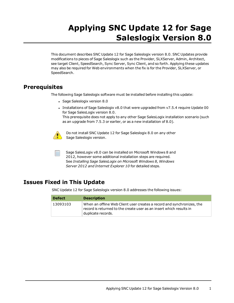# **Applying SNC Update 12 for Sage Saleslogix Version 8.0**

This document describes SNC Update 12 for Sage Saleslogix version 8.0. SNC Updates provide modifications to pieces of Sage Saleslogix such as the Provider, SLXServer, Admin, Architect, see target Client, SpeedSearch, Sync Server, Sync Client, and so forth. Applying these updates may also be required for Web environments when the fix is for the Provider, SLXServer, or SpeedSearch.

#### **Prerequisites**

The following Sage Saleslogix software must be installed before installing this update:

- Sage Saleslogix version 8.0
- Installations of Sage Saleslogix v8.0 that were upgraded from v7.5.4 require Update 00 for Sage SalesLogix version 8.0. This prerequisite does not apply to any other Sage SalesLogix installation scenario (such as an upgrade from 7.5.3 or earlier, or as a new installation of 8.0).



Do not install SNC Update 12 for Sage Saleslogix 8.0 on any other Sage Saleslogix version.

Sage SalesLogix v8.0 can be installed on Microsoft Windows 8 and 2012, however some additional installation steps are required. See *Installing Sage SalesLogix on Microsoft Windows 8, Windows Server 2012 and Internet Explorer 10* for detailed steps.

## **Issues Fixed in This Update**

SNC Update 12 for Sage Saleslogix version 8.0 addresses the following issues:

| <b>Defect</b> | <b>Description</b>                                                                                                                                                  |
|---------------|---------------------------------------------------------------------------------------------------------------------------------------------------------------------|
| 13093103      | When an offline Web Client user creates a record and synchronizes, the<br>record is returned to the create user as an insert which results in<br>duplicate records. |